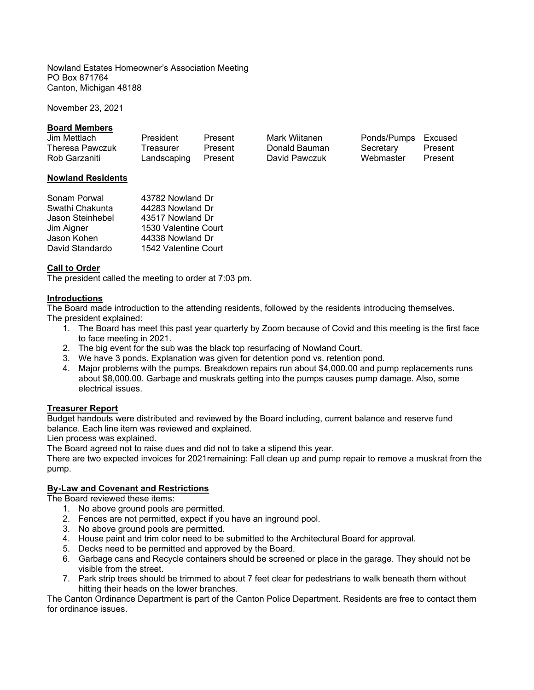Nowland Estates Homeowner's Association Meeting PO Box 871764 Canton, Michigan 48188

November 23, 2021

### **Board Members**

| Jim Mettlach           | President           | Present | Mark Wiitanen | Ponds/Pumps Excused |         |
|------------------------|---------------------|---------|---------------|---------------------|---------|
| <b>Theresa Pawczuk</b> | Treasurer           | Present | Donald Bauman | Secretary           | Present |
| Rob Garzaniti          | Landscaping Present |         | David Pawczuk | Webmaster           | Present |

## **Nowland Residents**

| Sonam Porwal     | 43782 Nowland Dr     |
|------------------|----------------------|
| Swathi Chakunta  | 44283 Nowland Dr     |
| Jason Steinhebel | 43517 Nowland Dr     |
| Jim Aigner       | 1530 Valentine Court |
| Jason Kohen      | 44338 Nowland Dr     |
| David Standardo  | 1542 Valentine Court |

## **Call to Order**

The president called the meeting to order at 7:03 pm.

### **Introductions**

The Board made introduction to the attending residents, followed by the residents introducing themselves. The president explained:

- 1. The Board has meet this past year quarterly by Zoom because of Covid and this meeting is the first face to face meeting in 2021.
- 2. The big event for the sub was the black top resurfacing of Nowland Court.
- 3. We have 3 ponds. Explanation was given for detention pond vs. retention pond.
- 4. Major problems with the pumps. Breakdown repairs run about \$4,000.00 and pump replacements runs about \$8,000.00. Garbage and muskrats getting into the pumps causes pump damage. Also, some electrical issues.

### **Treasurer Report**

Budget handouts were distributed and reviewed by the Board including, current balance and reserve fund balance. Each line item was reviewed and explained.

Lien process was explained.

The Board agreed not to raise dues and did not to take a stipend this year.

There are two expected invoices for 2021remaining: Fall clean up and pump repair to remove a muskrat from the pump.

# **By-Law and Covenant and Restrictions**

The Board reviewed these items:

- 1. No above ground pools are permitted.
- 2. Fences are not permitted, expect if you have an inground pool.
- 3. No above ground pools are permitted.
- 4. House paint and trim color need to be submitted to the Architectural Board for approval.
- 5. Decks need to be permitted and approved by the Board.
- 6. Garbage cans and Recycle containers should be screened or place in the garage. They should not be visible from the street.
- 7. Park strip trees should be trimmed to about 7 feet clear for pedestrians to walk beneath them without hitting their heads on the lower branches.

The Canton Ordinance Department is part of the Canton Police Department. Residents are free to contact them for ordinance issues.